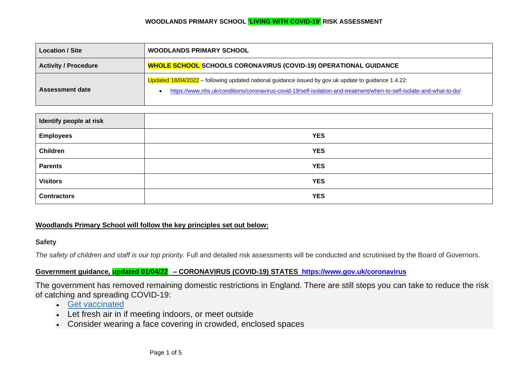| <b>Location / Site</b>      | <b>WOODLANDS PRIMARY SCHOOL</b>                                                                                                                                                                                              |  |
|-----------------------------|------------------------------------------------------------------------------------------------------------------------------------------------------------------------------------------------------------------------------|--|
| <b>Activity / Procedure</b> | <b>WHOLE SCHOOL SCHOOLS CORONAVIRUS (COVID-19) OPERATIONAL GUIDANCE</b>                                                                                                                                                      |  |
| Assessment date             | Updated 18/04/2022 – following updated national guidance issued by gov.uk update to guidance 1.4.22:<br>https://www.nhs.uk/conditions/coronavirus-covid-19/self-isolation-and-treatment/when-to-self-isolate-and-what-to-do/ |  |

| Identify people at risk |            |
|-------------------------|------------|
| <b>Employees</b>        | <b>YES</b> |
| <b>Children</b>         | <b>YES</b> |
| <b>Parents</b>          | <b>YES</b> |
| <b>Visitors</b>         | <b>YES</b> |
| <b>Contractors</b>      | <b>YES</b> |

# **Woodlands Primary School will follow the key principles set out below:**

## **Safety**

*The safety of children and staff is our top priority.* Full and detailed risk assessments will be conducted and scrutinised by the Board of Governors.

# **Government guidance, updated 01/04/22 – CORONAVIRUS (COVID-19) STATES <https://www.gov.uk/coronavirus>**

The government has removed remaining domestic restrictions in England. There are still steps you can take to reduce the risk of catching and spreading COVID-19:

- [Get vaccinated](https://www.nhs.uk/conditions/coronavirus-covid-19/coronavirus-vaccination/coronavirus-vaccine/)
- Let fresh air in if meeting indoors, or meet outside
- Consider wearing a face covering in crowded, enclosed spaces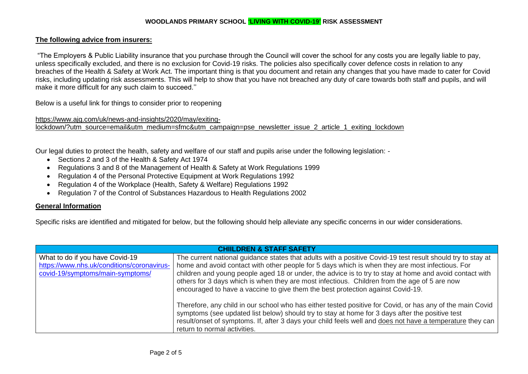# **The following advice from insurers:**

"The Employers & Public Liability insurance that you purchase through the Council will cover the school for any costs you are legally liable to pay, unless specifically excluded, and there is no exclusion for Covid-19 risks. The policies also specifically cover defence costs in relation to any breaches of the Health & Safety at Work Act. The important thing is that you document and retain any changes that you have made to cater for Covid risks, including updating risk assessments. This will help to show that you have not breached any duty of care towards both staff and pupils, and will make it more difficult for any such claim to succeed.''

Below is a useful link for things to consider prior to reopening

[https://www.ajg.com/uk/news-and-insights/2020/may/exiting](https://www.ajg.com/uk/news-and-insights/2020/may/exiting-lockdown/?utm_source=email&utm_medium=sfmc&utm_campaign=pse_newsletter_issue_2_article_1_exiting_lockdown)[lockdown/?utm\\_source=email&utm\\_medium=sfmc&utm\\_campaign=pse\\_newsletter\\_issue\\_2\\_article\\_1\\_exiting\\_lockdown](https://www.ajg.com/uk/news-and-insights/2020/may/exiting-lockdown/?utm_source=email&utm_medium=sfmc&utm_campaign=pse_newsletter_issue_2_article_1_exiting_lockdown)

Our legal duties to protect the health, safety and welfare of our staff and pupils arise under the following legislation: -

- Sections 2 and 3 of the Health & Safety Act 1974
- Regulations 3 and 8 of the Management of Health & Safety at Work Regulations 1999
- Regulation 4 of the Personal Protective Equipment at Work Regulations 1992
- Regulation 4 of the Workplace (Health, Safety & Welfare) Regulations 1992
- Regulation 7 of the Control of Substances Hazardous to Health Regulations 2002

# **General Information**

Specific risks are identified and mitigated for below, but the following should help alleviate any specific concerns in our wider considerations.

| <b>CHIILDREN &amp; STAFF SAFETY</b>                                                                               |                                                                                                                                                                                                                                                                                                                                                                                                                                                                                                              |  |
|-------------------------------------------------------------------------------------------------------------------|--------------------------------------------------------------------------------------------------------------------------------------------------------------------------------------------------------------------------------------------------------------------------------------------------------------------------------------------------------------------------------------------------------------------------------------------------------------------------------------------------------------|--|
| What to do if you have Covid-19<br>https://www.nhs.uk/conditions/coronavirus-<br>covid-19/symptoms/main-symptoms/ | The current national guidance states that adults with a positive Covid-19 test result should try to stay at<br>home and avoid contact with other people for 5 days which is when they are most infectious. For<br>children and young people aged 18 or under, the advice is to try to stay at home and avoid contact with<br>others for 3 days which is when they are most infectious. Children from the age of 5 are now<br>encouraged to have a vaccine to give them the best protection against Covid-19. |  |
|                                                                                                                   | Therefore, any child in our school who has either tested positive for Covid, or has any of the main Covid<br>symptoms (see updated list below) should try to stay at home for 3 days after the positive test<br>result/onset of symptoms. If, after 3 days your child feels well and does not have a temperature they can<br>return to normal activities.                                                                                                                                                    |  |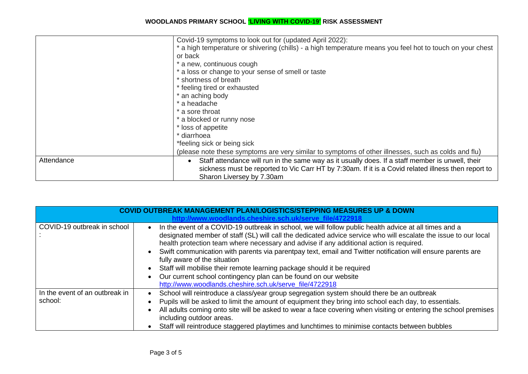|            | Covid-19 symptoms to look out for (updated April 2022):                                                                                                                                                                              |
|------------|--------------------------------------------------------------------------------------------------------------------------------------------------------------------------------------------------------------------------------------|
|            | * a high temperature or shivering (chills) - a high temperature means you feel hot to touch on your chest                                                                                                                            |
|            | or back                                                                                                                                                                                                                              |
|            | * a new, continuous cough                                                                                                                                                                                                            |
|            | * a loss or change to your sense of smell or taste                                                                                                                                                                                   |
|            | * shortness of breath                                                                                                                                                                                                                |
|            | * feeling tired or exhausted                                                                                                                                                                                                         |
|            | * an aching body                                                                                                                                                                                                                     |
|            | * a headache                                                                                                                                                                                                                         |
|            | * a sore throat                                                                                                                                                                                                                      |
|            | * a blocked or runny nose                                                                                                                                                                                                            |
|            | * loss of appetite                                                                                                                                                                                                                   |
|            | * diarrhoea                                                                                                                                                                                                                          |
|            | *feeling sick or being sick                                                                                                                                                                                                          |
|            | (please note these symptoms are very similar to symptoms of other illnesses, such as colds and flu)                                                                                                                                  |
| Attendance | Staff attendance will run in the same way as it usually does. If a staff member is unwell, their<br>sickness must be reported to Vic Carr HT by 7:30am. If it is a Covid related illness then report to<br>Sharon Liversey by 7.30am |

|                                           | <b>COVID OUTBREAK MANAGEMENT PLAN/LOGISTICS/STEPPING MEASURES UP &amp; DOWN</b><br>http://www.woodlands.cheshire.sch.uk/serve file/4722918                                                                                                                                                                                                                                                                                                                                                                                                                                                                                                                                                                         |
|-------------------------------------------|--------------------------------------------------------------------------------------------------------------------------------------------------------------------------------------------------------------------------------------------------------------------------------------------------------------------------------------------------------------------------------------------------------------------------------------------------------------------------------------------------------------------------------------------------------------------------------------------------------------------------------------------------------------------------------------------------------------------|
| COVID-19 outbreak in school               | In the event of a COVID-19 outbreak in school, we will follow public health advice at all times and a<br>$\bullet$<br>designated member of staff (SL) will call the dedicated advice service who will escalate the issue to our local<br>health protection team where necessary and advise if any additional action is required.<br>Swift communication with parents via parentpay text, email and Twitter notification will ensure parents are<br>$\bullet$<br>fully aware of the situation<br>Staff will mobilise their remote learning package should it be required<br>$\bullet$<br>Our current school contingency plan can be found on our website<br>http://www.woodlands.cheshire.sch.uk/serve_file/4722918 |
| In the event of an outbreak in<br>school: | School will reintroduce a class/year group segregation system should there be an outbreak<br>Pupils will be asked to limit the amount of equipment they bring into school each day, to essentials.<br>All adults coming onto site will be asked to wear a face covering when visiting or entering the school premises<br>including outdoor areas.<br>Staff will reintroduce staggered playtimes and lunchtimes to minimise contacts between bubbles                                                                                                                                                                                                                                                                |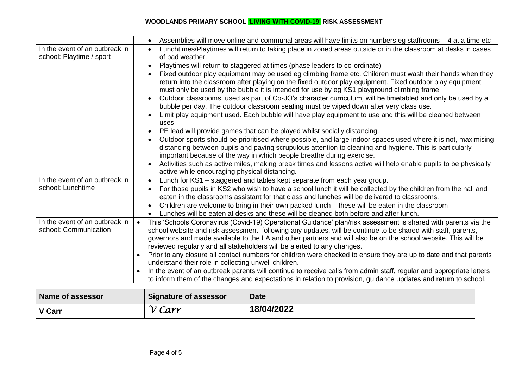|                                | Assemblies will move online and communal areas will have limits on numbers eg staffrooms - 4 at a time etc<br>$\bullet$                                          |
|--------------------------------|------------------------------------------------------------------------------------------------------------------------------------------------------------------|
| In the event of an outbreak in | Lunchtimes/Playtimes will return to taking place in zoned areas outside or in the classroom at desks in cases<br>$\bullet$                                       |
| school: Playtime / sport       | of bad weather.                                                                                                                                                  |
|                                | Playtimes will return to staggered at times (phase leaders to co-ordinate)<br>$\bullet$                                                                          |
|                                | Fixed outdoor play equipment may be used eg climbing frame etc. Children must wash their hands when they<br>$\bullet$                                            |
|                                | return into the classroom after playing on the fixed outdoor play equipment. Fixed outdoor play equipment                                                        |
|                                | must only be used by the bubble it is intended for use by eg KS1 playground climbing frame                                                                       |
|                                | Outdoor classrooms, used as part of Co-JO's character curriculum, will be timetabled and only be used by a<br>$\bullet$                                          |
|                                | bubble per day. The outdoor classroom seating must be wiped down after very class use.                                                                           |
|                                | Limit play equipment used. Each bubble will have play equipment to use and this will be cleaned between<br>$\bullet$                                             |
|                                | uses.                                                                                                                                                            |
|                                | PE lead will provide games that can be played whilst socially distancing.                                                                                        |
|                                | Outdoor sports should be prioritised where possible, and large indoor spaces used where it is not, maximising<br>$\bullet$                                       |
|                                | distancing between pupils and paying scrupulous attention to cleaning and hygiene. This is particularly                                                          |
|                                | important because of the way in which people breathe during exercise.                                                                                            |
|                                | Activities such as active miles, making break times and lessons active will help enable pupils to be physically<br>active while encouraging physical distancing. |
| In the event of an outbreak in | Lunch for KS1 - staggered and tables kept separate from each year group.<br>$\bullet$                                                                            |
| school: Lunchtime              | For those pupils in KS2 who wish to have a school lunch it will be collected by the children from the hall and<br>$\bullet$                                      |
|                                | eaten in the classrooms assistant for that class and lunches will be delivered to classrooms.                                                                    |
|                                | Children are welcome to bring in their own packed lunch - these will be eaten in the classroom                                                                   |
|                                | Lunches will be eaten at desks and these will be cleaned both before and after lunch.<br>$\bullet$                                                               |
| In the event of an outbreak in | This 'Schools Coronavirus (Covid-19) Operational Guidance' plan/risk assessment is shared with parents via the                                                   |
| school: Communication          | school website and risk assessment, following any updates, will be continue to be shared with staff, parents,                                                    |
|                                | governors and made available to the LA and other partners and will also be on the school website. This will be                                                   |
|                                | reviewed regularly and all stakeholders will be alerted to any changes.                                                                                          |
|                                | Prior to any closure all contact numbers for children were checked to ensure they are up to date and that parents                                                |
|                                | understand their role in collecting unwell children.                                                                                                             |
|                                | In the event of an outbreak parents will continue to receive calls from admin staff, regular and appropriate letters                                             |
|                                | to inform them of the changes and expectations in relation to provision, guidance updates and return to school.                                                  |
|                                |                                                                                                                                                                  |

| Name of assessor | <b>Signature of assessor</b>       | <b>Date</b> |
|------------------|------------------------------------|-------------|
| V Carr           | $\mathcal{U}$<br>$\mathcal{L}$ arr | 18/04/2022  |